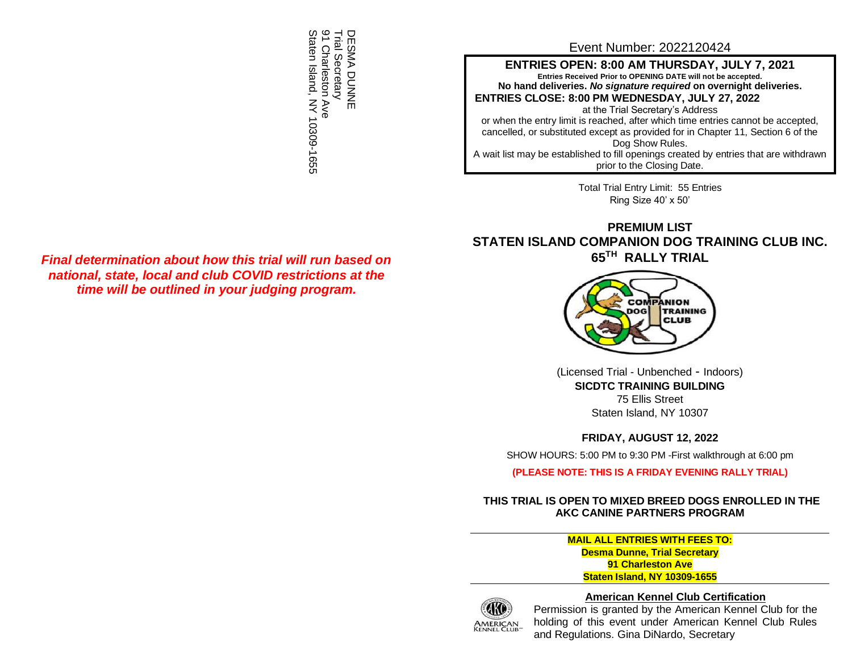DESMA DUNNE<br>Trial Secretary<br>91 Charleston Ave<br>Staten Island, NY 10309-1655 Trial Secretary DESMA DUNNE 1 Charleston Ave Staten Island, NY 10309-1655

# Event Number: 2022120424

**ENTRIES OPEN: 8:00 AM THURSDAY, JULY 7, 2021 Entries Received Prior to OPENING DATE will not be accepted. No hand deliveries.** *No signature required* **on overnight deliveries. ENTRIES CLOSE: 8:00 PM WEDNESDAY, JULY 27, 2022**

at the Trial Secretary's Address or when the entry limit is reached, after which time entries cannot be accepted, cancelled, or substituted except as provided for in Chapter 11, Section 6 of the Dog Show Rules.

A wait list may be established to fill openings created by entries that are withdrawn prior to the Closing Date.

> Total Trial Entry Limit: 55 Entries Ring Size 40' x 50'

# **PREMIUM LIST STATEN ISLAND COMPANION DOG TRAINING CLUB INC. 65 TH RALLY TRIAL**



(Licensed Trial - Unbenched - Indoors) **SICDTC TRAINING BUILDING** 75 Ellis Street Staten Island, NY 10307

**FRIDAY, AUGUST 12, 2022**

SHOW HOURS: 5:00 PM to 9:30 PM -First walkthrough at 6:00 pm

**(PLEASE NOTE: THIS IS A FRIDAY EVENING RALLY TRIAL)**

# **THIS TRIAL IS OPEN TO MIXED BREED DOGS ENROLLED IN THE AKC CANINE PARTNERS PROGRAM**

**MAIL ALL ENTRIES WITH FEES TO: Desma Dunne, Trial Secretary 91 Charleston Ave Staten Island, NY 10309-1655**



## **American Kennel Club Certification**

Permission is granted by the American Kennel Club for the holding of this event under American Kennel Club Rules and Regulations. Gina DiNardo, Secretary

*Final determination about how this trial will run based on national, state, local and club COVID restrictions at the time will be outlined in your judging program.*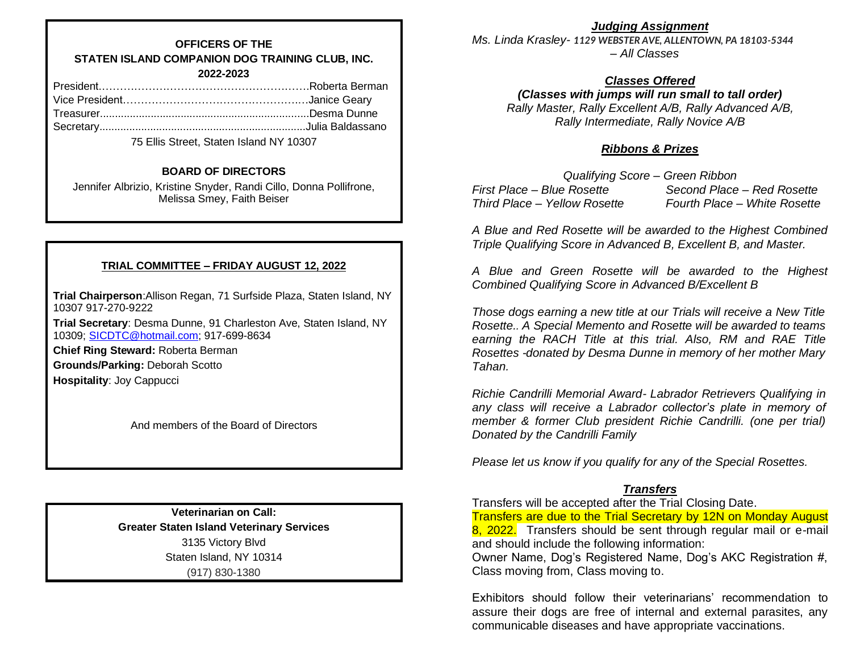# **OFFICERS OF THE STATEN ISLAND COMPANION DOG TRAINING CLUB, INC. 2022-2023**

75 Ellis Street, Staten Island NY 10307

## **BOARD OF DIRECTORS**

Jennifer Albrizio, Kristine Snyder, Randi Cillo, Donna Pollifrone, Melissa Smey, Faith Beiser

# **TRIAL COMMITTEE – FRIDAY AUGUST 12, 2022**

**Trial Chairperson**:Allison Regan, 71 Surfside Plaza, Staten Island, NY 10307 917-270-9222

**Trial Secretary**: Desma Dunne, 91 Charleston Ave, Staten Island, NY 10309; [SICDTC@hotmail.com;](mailto:SICDTC@hotmail.com) 917-699-8634

**Chief Ring Steward:** Roberta Berman

**Grounds/Parking:** Deborah Scotto

**Hospitality**: Joy Cappucci

And members of the Board of Directors

**Veterinarian on Call: Greater Staten Island Veterinary Services** 3135 Victory Blvd Staten Island, NY 10314 (917) 830-1380

*Judging Assignment*

*Ms. Linda Krasley- 1129 WEBSTER AVE, ALLENTOWN, PA 18103-5344 – All Classes*

# *Classes Offered*

*(Classes with jumps will run small to tall order) Rally Master, Rally Excellent A/B, Rally Advanced A/B, Rally Intermediate, Rally Novice A/B*

## *Ribbons & Prizes*

*Qualifying Score – Green Ribbon First Place – Blue Rosette Second Place – Red Rosette Third Place – Yellow Rosette Fourth Place – White Rosette*

*A Blue and Red Rosette will be awarded to the Highest Combined Triple Qualifying Score in Advanced B, Excellent B, and Master.*

*A Blue and Green Rosette will be awarded to the Highest Combined Qualifying Score in Advanced B/Excellent B*

*Those dogs earning a new title at our Trials will receive a New Title Rosette.. A Special Memento and Rosette will be awarded to teams earning the RACH Title at this trial. Also, RM and RAE Title Rosettes -donated by Desma Dunne in memory of her mother Mary Tahan.*

*Richie Candrilli Memorial Award- Labrador Retrievers Qualifying in any class will receive a Labrador collector's plate in memory of member & former Club president Richie Candrilli. (one per trial) Donated by the Candrilli Family*

*Please let us know if you qualify for any of the Special Rosettes.*

# *Transfers*

Transfers will be accepted after the Trial Closing Date.

Transfers are due to the Trial Secretary by 12N on Monday August 8, 2022. Transfers should be sent through regular mail or e-mail and should include the following information:

Owner Name, Dog's Registered Name, Dog's AKC Registration #, Class moving from, Class moving to.

Exhibitors should follow their veterinarians' recommendation to assure their dogs are free of internal and external parasites, any communicable diseases and have appropriate vaccinations.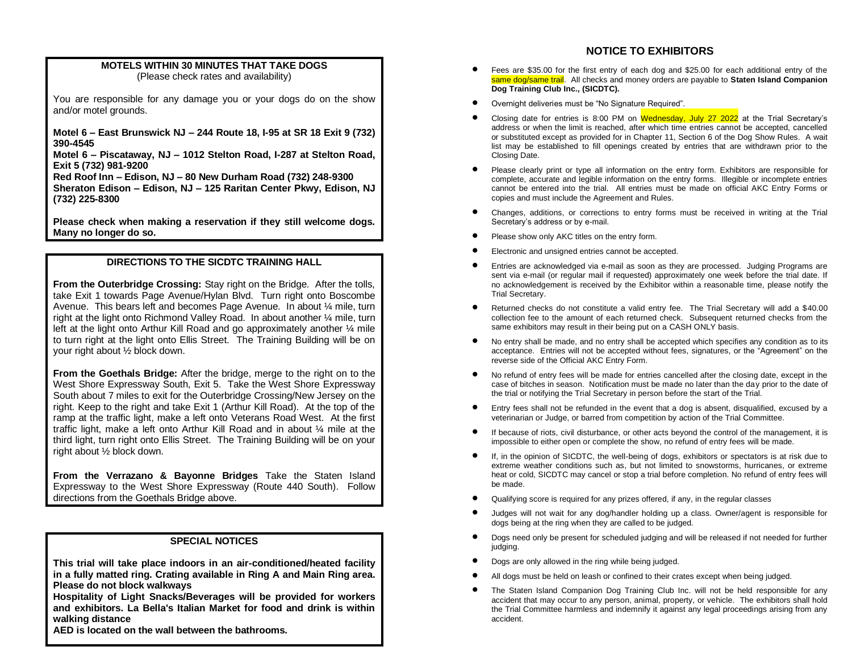### **MOTELS WITHIN 30 MINUTES THAT TAKE DOGS** (Please check rates and availability)

You are responsible for any damage you or your dogs do on the show and/or motel grounds.

**Motel 6 – East Brunswick NJ – 244 Route 18, I-95 at SR 18 Exit 9 (732) 390-4545**

**Motel 6 – Piscataway, NJ – 1012 Stelton Road, I-287 at Stelton Road, Exit 5 (732) 981-9200**

**Red Roof Inn – Edison, NJ – 80 New Durham Road (732) 248-9300 Sheraton Edison – Edison, NJ – 125 Raritan Center Pkwy, Edison, NJ (732) 225-8300**

**Please check when making a reservation if they still welcome dogs. Many no longer do so.**

## **DIRECTIONS TO THE SICDTC TRAINING HALL**

**From the Outerbridge Crossing:** Stay right on the Bridge. After the tolls, take Exit 1 towards Page Avenue/Hylan Blvd. Turn right onto Boscombe Avenue. This bears left and becomes Page Avenue. In about ¼ mile, turn right at the light onto Richmond Valley Road. In about another ¼ mile, turn left at the light onto Arthur Kill Road and go approximately another  $\frac{1}{4}$  mile to turn right at the light onto Ellis Street. The Training Building will be on your right about ½ block down.

**From the Goethals Bridge:** After the bridge, merge to the right on to the West Shore Expressway South, Exit 5. Take the West Shore Expressway South about 7 miles to exit for the Outerbridge Crossing/New Jersey on the right. Keep to the right and take Exit 1 (Arthur Kill Road). At the top of the ramp at the traffic light, make a left onto Veterans Road West. At the first traffic light, make a left onto Arthur Kill Road and in about ¼ mile at the third light, turn right onto Ellis Street. The Training Building will be on your right about ½ block down.

**From the Verrazano & Bayonne Bridges** Take the Staten Island Expressway to the West Shore Expressway (Route 440 South). Follow directions from the Goethals Bridge above.

### **SPECIAL NOTICES**

**This trial will take place indoors in an air-conditioned/heated facility in a fully matted ring. Crating available in Ring A and Main Ring area. Please do not block walkways**

**Hospitality of Light Snacks/Beverages will be provided for workers and exhibitors. La Bella's Italian Market for food and drink is within walking distance**

**AED is located on the wall between the bathrooms.**

# **NOTICE TO EXHIBITORS**

- Fees are \$35.00 for the first entry of each dog and \$25.00 for each additional entry of the same dog/same trail. All checks and money orders are payable to **Staten Island Companion Dog Training Club Inc., (SICDTC).**
- Overnight deliveries must be "No Signature Required".
- Closing date for entries is 8:00 PM on Wednesday, July 27 2022 at the Trial Secretary's address or when the limit is reached, after which time entries cannot be accepted, cancelled or substituted except as provided for in Chapter 11, Section 6 of the Dog Show Rules. A wait list may be established to fill openings created by entries that are withdrawn prior to the Closing Date.
- Please clearly print or type all information on the entry form. Exhibitors are responsible for complete, accurate and legible information on the entry forms. Illegible or incomplete entries cannot be entered into the trial. All entries must be made on official AKC Entry Forms or copies and must include the Agreement and Rules.
- Changes, additions, or corrections to entry forms must be received in writing at the Trial Secretary's address or by e-mail.
- Please show only AKC titles on the entry form.
- Electronic and unsigned entries cannot be accepted.
- Entries are acknowledged via e-mail as soon as they are processed. Judging Programs are sent via e-mail (or regular mail if requested) approximately one week before the trial date. If no acknowledgement is received by the Exhibitor within a reasonable time, please notify the Trial Secretary.
- Returned checks do not constitute a valid entry fee. The Trial Secretary will add a \$40.00 collection fee to the amount of each returned check. Subsequent returned checks from the same exhibitors may result in their being put on a CASH ONLY basis.
- No entry shall be made, and no entry shall be accepted which specifies any condition as to its acceptance. Entries will not be accepted without fees, signatures, or the "Agreement" on the reverse side of the Official AKC Entry Form.
- No refund of entry fees will be made for entries cancelled after the closing date, except in the case of bitches in season. Notification must be made no later than the day prior to the date of the trial or notifying the Trial Secretary in person before the start of the Trial.
- Entry fees shall not be refunded in the event that a dog is absent, disqualified, excused by a veterinarian or Judge, or barred from competition by action of the Trial Committee.
- If because of riots, civil disturbance, or other acts beyond the control of the management, it is impossible to either open or complete the show, no refund of entry fees will be made.
- If, in the opinion of SICDTC, the well-being of dogs, exhibitors or spectators is at risk due to extreme weather conditions such as, but not limited to snowstorms, hurricanes, or extreme heat or cold, SICDTC may cancel or stop a trial before completion. No refund of entry fees will be made.
- Qualifying score is required for any prizes offered, if any, in the regular classes
- Judges will not wait for any dog/handler holding up a class. Owner/agent is responsible for dogs being at the ring when they are called to be judged.
- Dogs need only be present for scheduled judging and will be released if not needed for further judging.
- Dogs are only allowed in the ring while being judged.
- All dogs must be held on leash or confined to their crates except when being judged.
- The Staten Island Companion Dog Training Club Inc. will not be held responsible for any accident that may occur to any person, animal, property, or vehicle. The exhibitors shall hold the Trial Committee harmless and indemnify it against any legal proceedings arising from any accident.